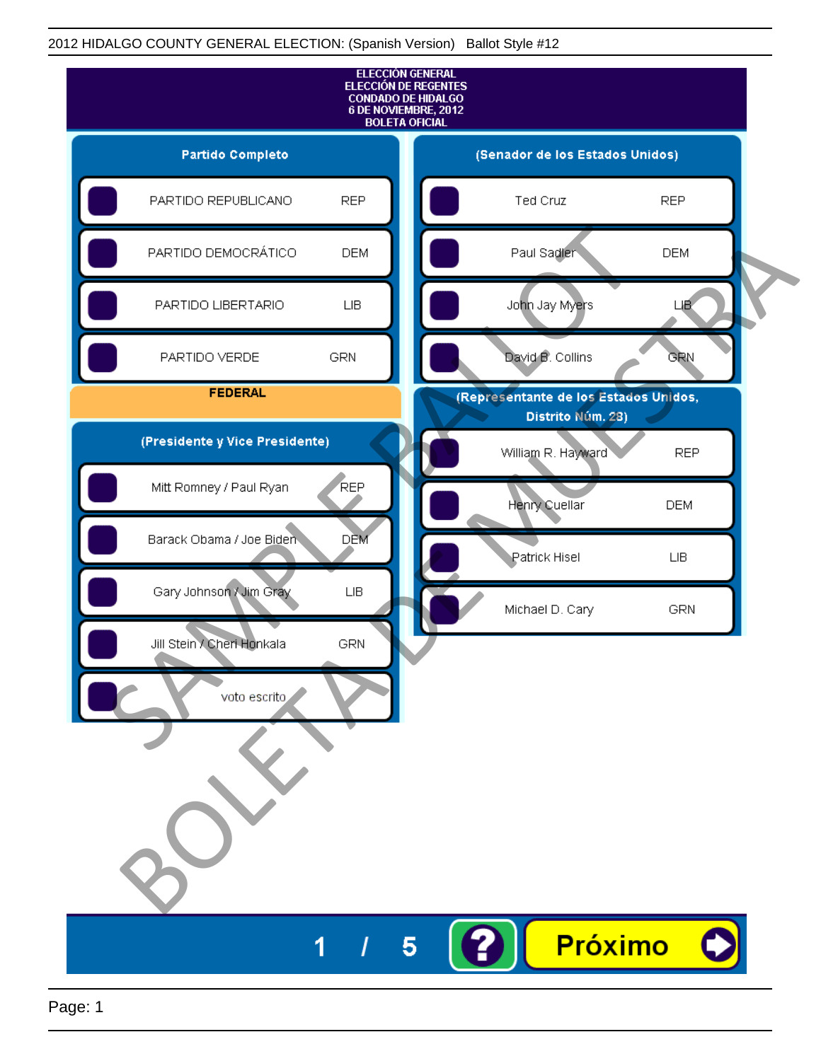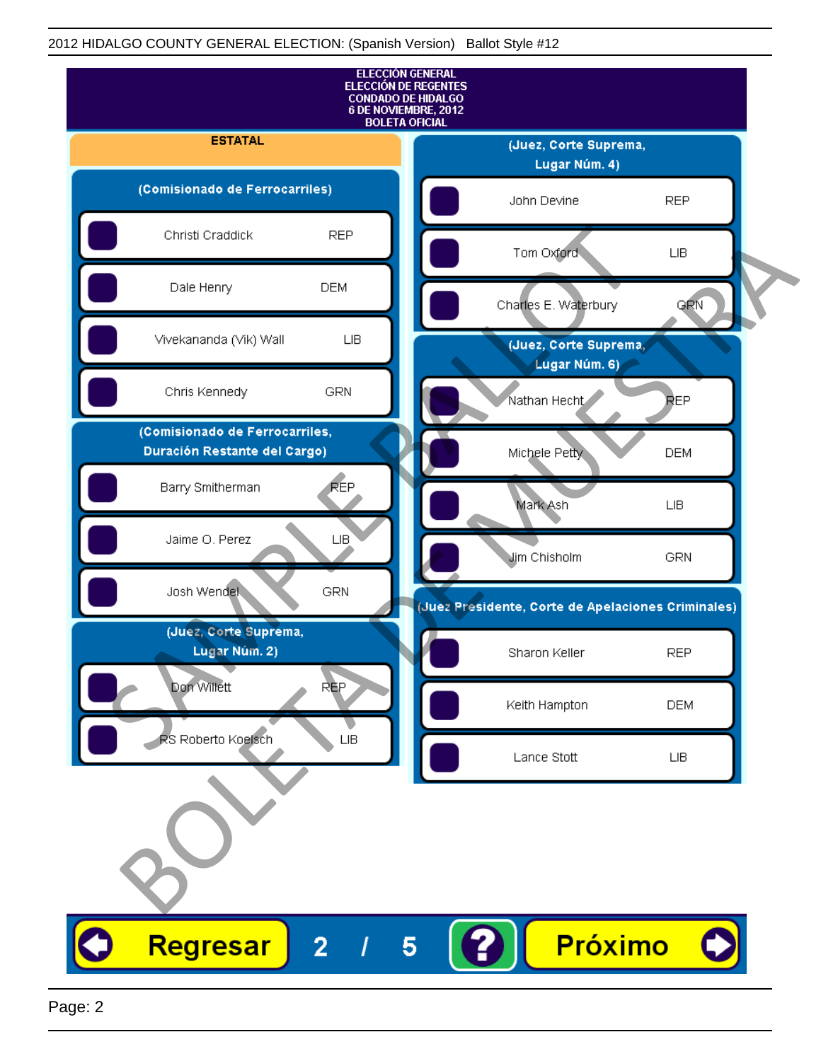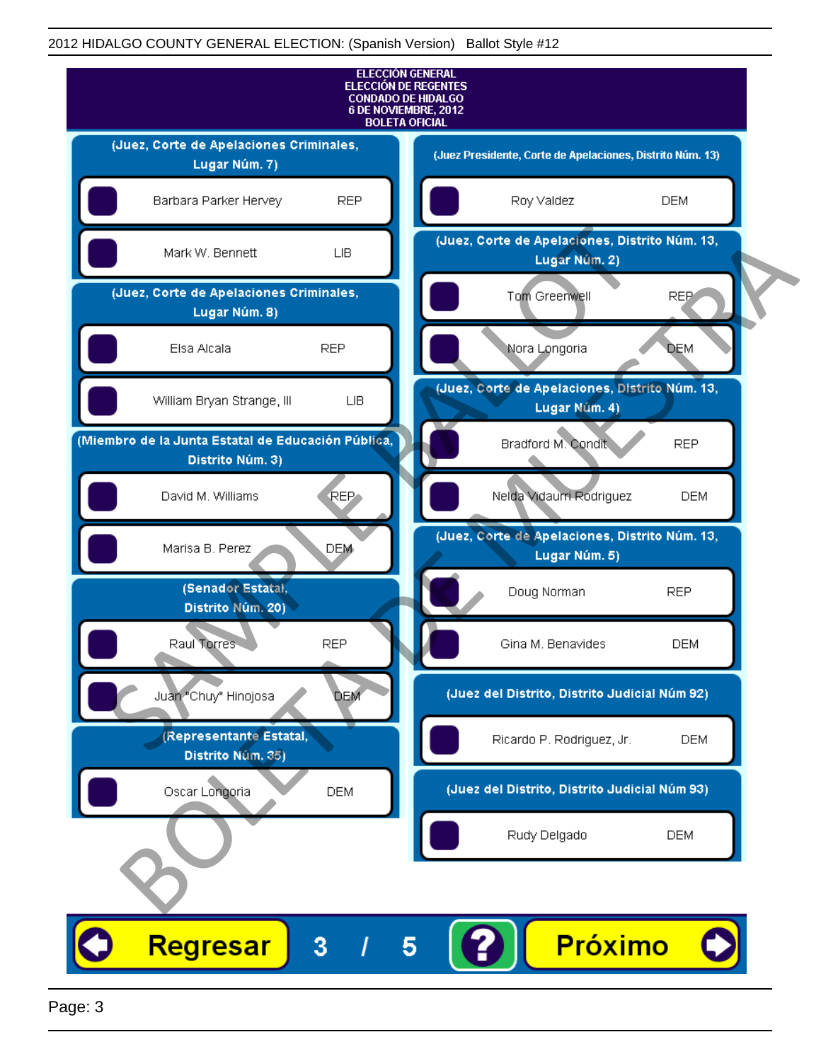

Page: 3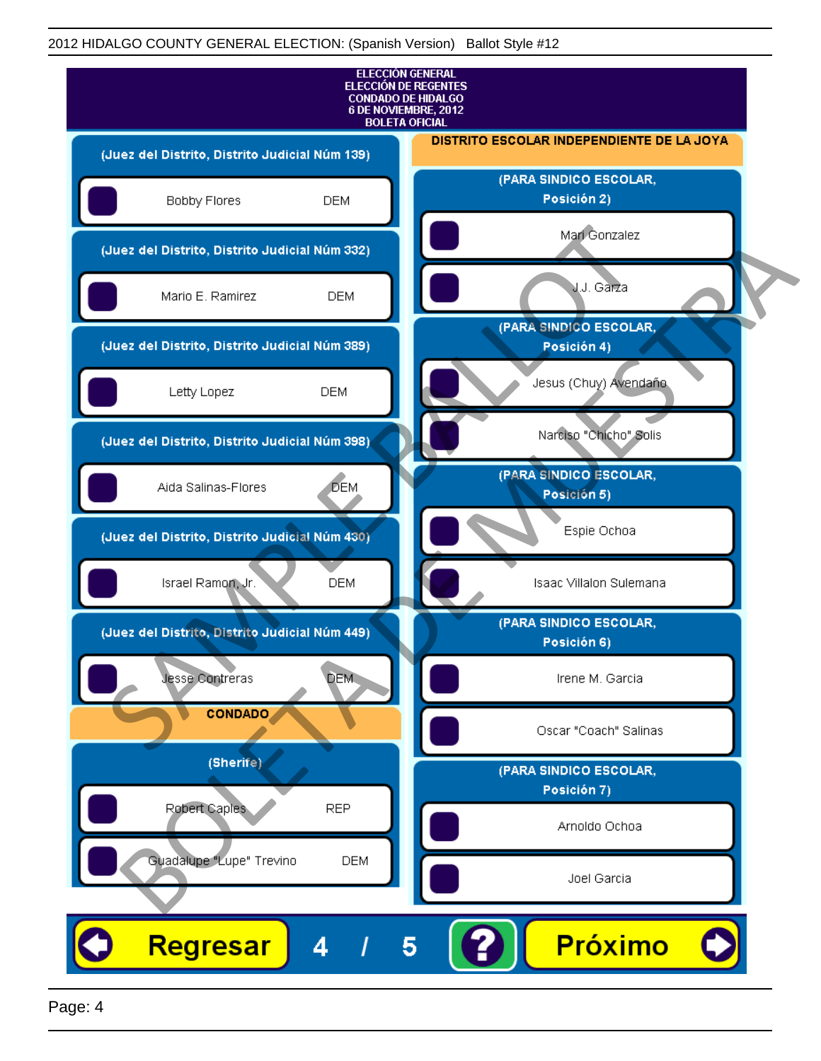

Page: 4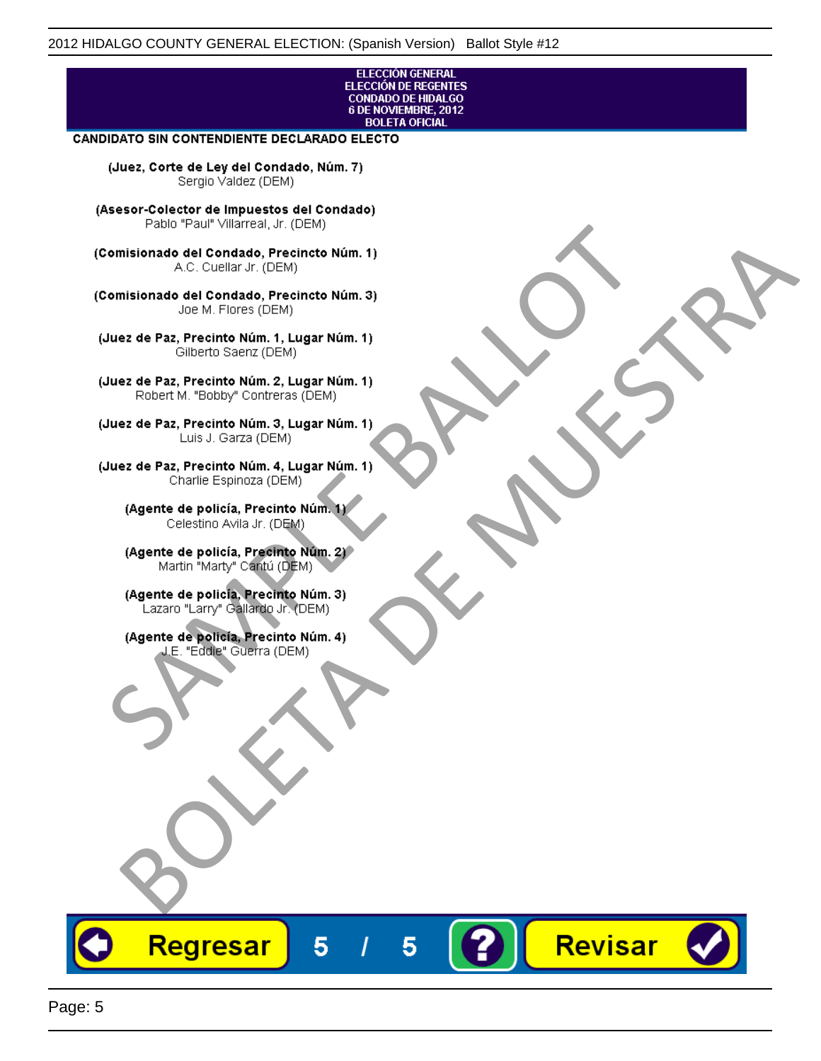## **ELECCIÓN GENERAL** ELECCIÓN DE REGENTES<br>CONDADO DE HIDALGO<br>6 DE NOVIEMBRE, 2012 **BOLETA OFICIAL**

Revisar

## **CANDIDATO SIN CONTENDIENTE DECLARADO ELECTO**

(Juez, Corte de Ley del Condado, Núm. 7) Sergio Valdez (DEM)

(Asesor-Colector de Impuestos del Condado)

Fallo Fall Willdrea, J.I. (DEM)<br>
Consistionado el Condado, Precincto Núm. 1)<br>
A.C. Cuellar Jr. (DEM)<br>
Ullez de Paz, Precinto Núm. 1)<br>
Juez de Paz, Precinto Núm. 1, Lugar Núm. 1)<br>
Gilberto Sentr (DEM)<br>
Robert M. "Bobby" Con misionado del Condiado, Precincto Núm. 1)<br>
Andro del Condiado, Precincto Núm. 3)<br>
ez de Paz, Precinto Núm. 21<br>
algo M. Picer Lo Saerz, Cichi (DEM)<br>
algo M. Picer Lo Saerz, Cichi (DEM)<br>
algo M. Picer Lo Saerz, Cichi (DEM)<br>

Regresar

5

5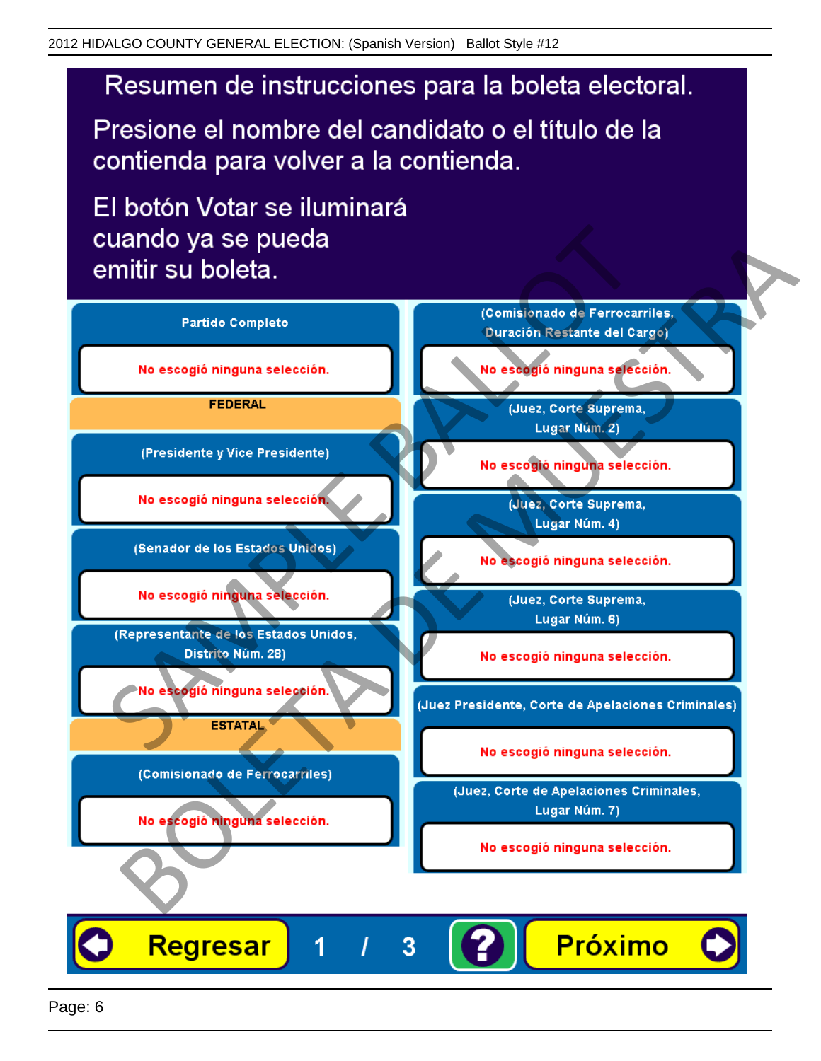# Resumen de instrucciones para la boleta electoral.

Presione el nombre del candidato o el título de la contienda para volver a la contienda.

El botón Votar se iluminará

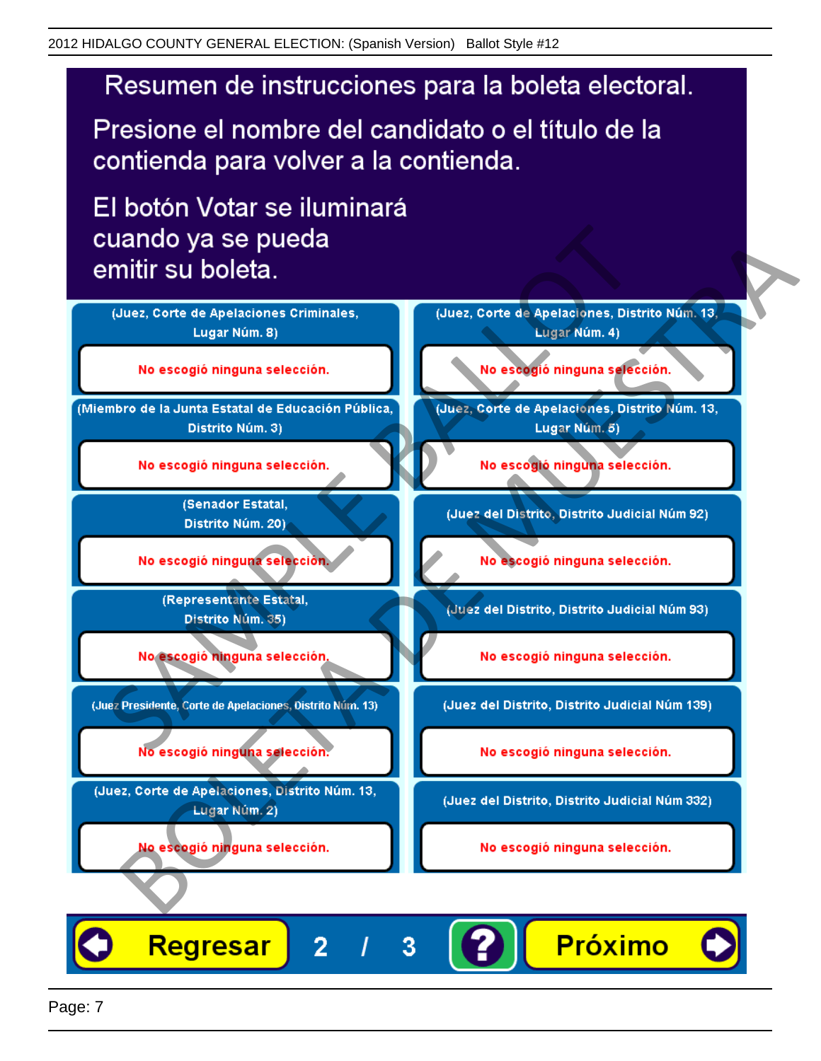# Resumen de instrucciones para la boleta electoral.

Presione el nombre del candidato o el título de la contienda para volver a la contienda.

El botón Votar se iluminará